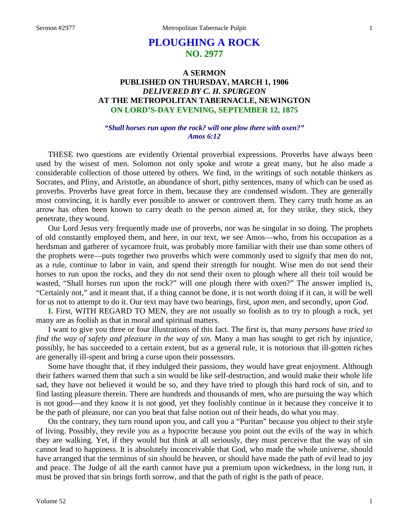# **PLOUGHING A ROCK NO. 2977**

# **A SERMON PUBLISHED ON THURSDAY, MARCH 1, 1906** *DELIVERED BY C. H. SPURGEON* **AT THE METROPOLITAN TABERNACLE, NEWINGTON ON LORD'S-DAY EVENING, SEPTEMBER 12, 1875**

#### *"Shall horses run upon the rock? will one plow there with oxen?" Amos 6:12*

THESE two questions are evidently Oriental proverbial expressions. Proverbs have always been used by the wisest of men. Solomon not only spoke and wrote a great many, but he also made a considerable collection of those uttered by others. We find, in the writings of such notable thinkers as Socrates, and Pliny, and Aristotle, an abundance of short, pithy sentences, many of which can be used as proverbs. Proverbs have great force in them, because they are condensed wisdom. They are generally most convincing, it is hardly ever possible to answer or controvert them. They carry truth home as an arrow has often been known to carry death to the person aimed at, for they strike, they stick, they penetrate, they wound.

Our Lord Jesus very frequently made use of proverbs, nor was he singular in so doing. The prophets of old constantly employed them, and here, in our text, we see Amos—who, from his occupation as a herdsman and gatherer of sycamore fruit, was probably more familiar with their use than some others of the prophets were—puts together two proverbs which were commonly used to signify that men do not, as a rule, continue to labor in vain, and spend their strength for nought. Wise men do not send their horses to run upon the rocks, and they do not send their oxen to plough where all their toil would be wasted, "Shall horses run upon the rock?" will one plough there with oxen?" The answer implied is, "Certainly not," and it meant that, if a thing cannot be done, it is not worth doing if it can, it will be well for us not to attempt to do it. Our text may have two bearings, first, *upon men,* and secondly, *upon God.*

**I.** First, WITH REGARD TO MEN, they are not usually so foolish as to try to plough a rock, yet many are as foolish as that in moral and spiritual matters.

I want to give you three or four illustrations of this fact. The first is, that *many persons have tried to find the way of safety and pleasure in the way of sin.* Many a man has sought to get rich by injustice, possibly, he has succeeded to a certain extent, but as a general rule, it is notorious that ill-gotten riches are generally ill-spent and bring a curse upon their possessors.

Some have thought that, if they indulged their passions, they would have great enjoyment. Although their fathers warned them that such a sin would be like self-destruction, and would make their whole life sad, they have not believed it would be so, and they have tried to plough this hard rock of sin, and to find lasting pleasure therein. There are hundreds and thousands of men, who are pursuing the way which is not good—and they know it is not good, yet they foolishly continue in it because they conceive it to be the path of pleasure, nor can you beat that false notion out of their heads, do what you may.

On the contrary, they turn round upon you, and call you a "Puritan" because you object to their style of living. Possibly, they revile you as a hypocrite because you point out the evils of the way in which they are walking. Yet, if they would but think at all seriously, they must perceive that the way of sin cannot lead to happiness. It is absolutely inconceivable that God, who made the whole universe, should have arranged that the terminus of sin should be heaven, or should have made the path of evil lead to joy and peace. The Judge of all the earth cannot have put a premium upon wickedness, in the long run, it must be proved that sin brings forth sorrow, and that the path of right is the path of peace.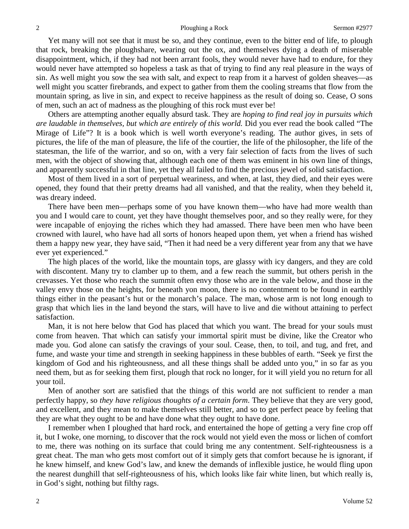Yet many will not see that it must be so, and they continue, even to the bitter end of life, to plough that rock, breaking the ploughshare, wearing out the ox, and themselves dying a death of miserable disappointment, which, if they had not been arrant fools, they would never have had to endure, for they would never have attempted so hopeless a task as that of trying to find any real pleasure in the ways of sin. As well might you sow the sea with salt, and expect to reap from it a harvest of golden sheaves—as well might you scatter firebrands, and expect to gather from them the cooling streams that flow from the mountain spring, as live in sin, and expect to receive happiness as the result of doing so. Cease, O sons of men, such an act of madness as the ploughing of this rock must ever be!

Others are attempting another equally absurd task. They are *hoping to find real joy in pursuits which are laudable in themselves, but which are entirely of this world.* Did you ever read the book called "The Mirage of Life"? It is a book which is well worth everyone's reading. The author gives, in sets of pictures, the life of the man of pleasure, the life of the courtier, the life of the philosopher, the life of the statesman, the life of the warrior, and so on, with a very fair selection of facts from the lives of such men, with the object of showing that, although each one of them was eminent in his own line of things, and apparently successful in that line, yet they all failed to find the precious jewel of solid satisfaction.

Most of them lived in a sort of perpetual weariness, and when, at last, they died, and their eyes were opened, they found that their pretty dreams had all vanished, and that the reality, when they beheld it, was dreary indeed.

There have been men—perhaps some of you have known them—who have had more wealth than you and I would care to count, yet they have thought themselves poor, and so they really were, for they were incapable of enjoying the riches which they had amassed. There have been men who have been crowned with laurel, who have had all sorts of honors heaped upon them, yet when a friend has wished them a happy new year, they have said, "Then it had need be a very different year from any that we have ever yet experienced."

The high places of the world, like the mountain tops, are glassy with icy dangers, and they are cold with discontent. Many try to clamber up to them, and a few reach the summit, but others perish in the crevasses. Yet those who reach the summit often envy those who are in the vale below, and those in the valley envy those on the heights, for beneath yon moon, there is no contentment to be found in earthly things either in the peasant's hut or the monarch's palace. The man, whose arm is not long enough to grasp that which lies in the land beyond the stars, will have to live and die without attaining to perfect satisfaction.

Man, it is not here below that God has placed that which you want. The bread for your souls must come from heaven. That which can satisfy your immortal spirit must be divine, like the Creator who made you. God alone can satisfy the cravings of your soul. Cease, then, to toil, and tug, and fret, and fume, and waste your time and strength in seeking happiness in these bubbles of earth. "Seek ye first the kingdom of God and his righteousness, and all these things shall be added unto you," in so far as you need them, but as for seeking them first, plough that rock no longer, for it will yield you no return for all your toil.

Men of another sort are satisfied that the things of this world are not sufficient to render a man perfectly happy, so *they have religious thoughts of a certain form*. They believe that they are very good, and excellent, and they mean to make themselves still better, and so to get perfect peace by feeling that they are what they ought to be and have done what they ought to have done.

I remember when I ploughed that hard rock, and entertained the hope of getting a very fine crop off it, but I woke, one morning, to discover that the rock would not yield even the moss or lichen of comfort to me, there was nothing on its surface that could bring me any contentment. Self-righteousness is a great cheat. The man who gets most comfort out of it simply gets that comfort because he is ignorant, if he knew himself, and knew God's law, and knew the demands of inflexible justice, he would fling upon the nearest dunghill that self-righteousness of his, which looks like fair white linen, but which really is, in God's sight, nothing but filthy rags.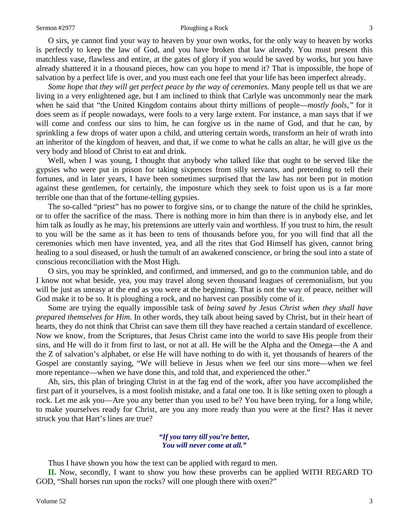#### Sermon #2977 Ploughing a Rock 3

O sirs, ye cannot find your way to heaven by your own works, for the only way to heaven by works is perfectly to keep the law of God, and you have broken that law already. You must present this matchless vase, flawless and entire, at the gates of glory if you would be saved by works, but you have already shattered it in a thousand pieces, how can you hope to mend it? That is impossible, the hope of salvation by a perfect life is over, and you must each one feel that your life has been imperfect already.

*Some hope that they will get perfect peace by the way of ceremonies.* Many people tell us that we are living in a very enlightened age, but I am inclined to think that Carlyle was uncommonly near the mark when he said that "the United Kingdom contains about thirty millions of people—*mostly fools,"* for it does seem as if people nowadays, were fools to a very large extent. For instance, a man says that if we will come and confess our sins to him, he can forgive us in the name of God, and that he can, by sprinkling a few drops of water upon a child, and uttering certain words, transform an heir of wrath into an inheritor of the kingdom of heaven, and that, if we come to what he calls an altar, he will give us the very body and blood of Christ to eat and drink.

Well, when I was young, I thought that anybody who talked like that ought to be served like the gypsies who were put in prison for taking sixpences from silly servants, and pretending to tell their fortunes, and in later years, I have been sometimes surprised that the law has not been put in motion against these gentlemen, for certainly, the imposture which they seek to foist upon us is a far more terrible one than that of the fortune-telling gypsies.

The so-called "priest" has no power to forgive sins, or to change the nature of the child he sprinkles, or to offer the sacrifice of the mass. There is nothing more in him than there is in anybody else, and let him talk as loudly as he may, his pretensions are utterly vain and worthless. If you trust to him, the result to you will be the same as it has been to tens of thousands before you, for you will find that all the ceremonies which men have invented, yea, and all the rites that God Himself has given, cannot bring healing to a soul diseased, or hush the tumult of an awakened conscience, or bring the soul into a state of conscious reconciliation with the Most High.

O sirs, you may be sprinkled, and confirmed, and immersed, and go to the communion table, and do I know not what beside, yea, you may travel along seven thousand leagues of ceremonialism, but you will be just as uneasy at the end as you were at the beginning. That is not the way of peace, neither will God make it to be so. It is ploughing a rock, and no harvest can possibly come of it.

Some are trying the equally impossible task of *being saved by Jesus Christ when they shall have prepared themselves for Him*. In other words, they talk about being saved by Christ, but in their heart of hearts, they do not think that Christ can save them till they have reached a certain standard of excellence. Now we know, from the Scriptures, that Jesus Christ came into the world to save His people from their sins, and He will do it from first to last, or not at all. He will be the Alpha and the Omega—the A and the Z of salvation's alphabet, or else He will have nothing to do with it, yet thousands of hearers of the Gospel are constantly saying, "We will believe in Jesus when we feel our sins more—when we feel more repentance—when we have done this, and told that, and experienced the other."

Ah, sirs, this plan of bringing Christ in at the fag end of the work, after you have accomplished the first part of it yourselves, is a most foolish mistake, and a fatal one too. It is like setting oxen to plough a rock. Let me ask you—Are you any better than you used to be? You have been trying, for a long while, to make yourselves ready for Christ, are you any more ready than you were at the first? Has it never struck you that Hart's lines are true?

#### *"If you tarry till you're better, You will never come at all."*

Thus I have shown you how the text can be applied with regard to men.

**II.** Now, secondly, I want to show you how these proverbs can be applied WITH REGARD TO GOD, "Shall horses run upon the rocks? will one plough there with oxen?"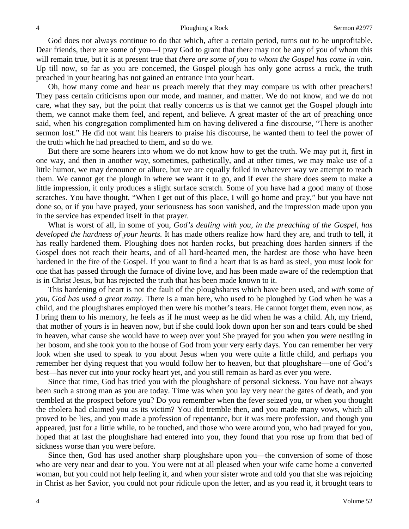God does not always continue to do that which, after a certain period, turns out to be unprofitable. Dear friends, there are some of you—I pray God to grant that there may not be any of you of whom this will remain true, but it is at present true that *there are some of you to whom the Gospel has come in vain.* Up till now, so far as you are concerned, the Gospel plough has only gone across a rock, the truth preached in your hearing has not gained an entrance into your heart.

Oh, how many come and hear us preach merely that they may compare us with other preachers! They pass certain criticisms upon our mode, and manner, and matter. We do not know, and we do not care, what they say, but the point that really concerns us is that we cannot get the Gospel plough into them, we cannot make them feel, and repent, and believe. A great master of the art of preaching once said, when his congregation complimented him on having delivered a fine discourse, "There is another sermon lost." He did not want his hearers to praise his discourse, he wanted them to feel the power of the truth which he had preached to them, and so do we.

But there are some hearers into whom we do not know how to get the truth. We may put it, first in one way, and then in another way, sometimes, pathetically, and at other times, we may make use of a little humor, we may denounce or allure, but we are equally foiled in whatever way we attempt to reach them. We cannot get the plough in where we want it to go, and if ever the share does seem to make a little impression, it only produces a slight surface scratch. Some of you have had a good many of those scratches. You have thought, "When I get out of this place, I will go home and pray," but you have not done so, or if you have prayed, your seriousness has soon vanished, and the impression made upon you in the service has expended itself in that prayer.

What is worst of all, in some of you, *God's dealing with you, in the preaching of the Gospel, has developed the hardness of your hearts.* It has made others realize how hard they are, and truth to tell, it has really hardened them. Ploughing does not harden rocks, but preaching does harden sinners if the Gospel does not reach their hearts, and of all hard-hearted men, the hardest are those who have been hardened in the fire of the Gospel. If you want to find a heart that is as hard as steel, you must look for one that has passed through the furnace of divine love, and has been made aware of the redemption that is in Christ Jesus, but has rejected the truth that has been made known to it.

This hardening of heart is not the fault of the ploughshares which have been used, and *with some of you, God has used a great many.* There is a man here, who used to be ploughed by God when he was a child, and the ploughshares employed then were his mother's tears. He cannot forget them, even now, as I bring them to his memory, he feels as if he must weep as he did when he was a child. Ah, my friend, that mother of yours is in heaven now, but if she could look down upon her son and tears could be shed in heaven, what cause she would have to weep over you! She prayed for you when you were nestling in her bosom, and she took you to the house of God from your very early days. You can remember her very look when she used to speak to you about Jesus when you were quite a little child, and perhaps you remember her dying request that you would follow her to heaven, but that ploughshare—one of God's best—has never cut into your rocky heart yet, and you still remain as hard as ever you were.

Since that time, God has tried you with the ploughshare of personal sickness. You have not always been such a strong man as you are today. Time was when you lay very near the gates of death, and you trembled at the prospect before you? Do you remember when the fever seized you, or when you thought the cholera had claimed you as its victim? You did tremble then, and you made many vows, which all proved to be lies, and you made a profession of repentance, but it was mere profession, and though you appeared, just for a little while, to be touched, and those who were around you, who had prayed for you, hoped that at last the ploughshare had entered into you, they found that you rose up from that bed of sickness worse than you were before.

Since then, God has used another sharp ploughshare upon you—the conversion of some of those who are very near and dear to you. You were not at all pleased when your wife came home a converted woman, but you could not help feeling it, and when your sister wrote and told you that she was rejoicing in Christ as her Savior, you could not pour ridicule upon the letter, and as you read it, it brought tears to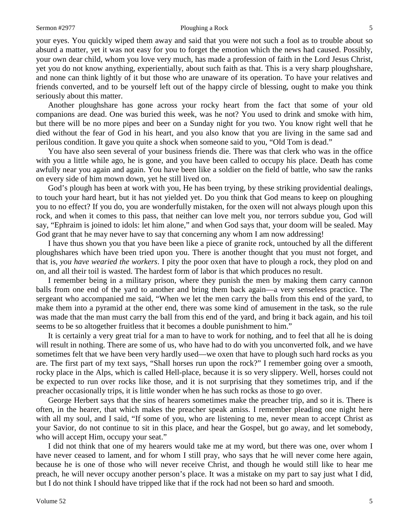#### Sermon #2977 Ploughing a Rock 5

your eyes. You quickly wiped them away and said that you were not such a fool as to trouble about so absurd a matter, yet it was not easy for you to forget the emotion which the news had caused. Possibly, your own dear child, whom you love very much, has made a profession of faith in the Lord Jesus Christ, yet you do not know anything, experientially, about such faith as that. This is a very sharp ploughshare, and none can think lightly of it but those who are unaware of its operation. To have your relatives and friends converted, and to be yourself left out of the happy circle of blessing, ought to make you think seriously about this matter.

Another ploughshare has gone across your rocky heart from the fact that some of your old companions are dead. One was buried this week, was he not? You used to drink and smoke with him, but there will be no more pipes and beer on a Sunday night for you two. You know right well that he died without the fear of God in his heart, and you also know that you are living in the same sad and perilous condition. It gave you quite a shock when someone said to you, "Old Tom is dead."

You have also seen several of your business friends die. There was that clerk who was in the office with you a little while ago, he is gone, and you have been called to occupy his place. Death has come awfully near you again and again. You have been like a soldier on the field of battle, who saw the ranks on every side of him mown down, yet he still lived on.

God's plough has been at work with you, He has been trying, by these striking providential dealings, to touch your hard heart, but it has not yielded yet. Do you think that God means to keep on ploughing you to no effect? If you do, you are wonderfully mistaken, for the oxen will not always plough upon this rock, and when it comes to this pass, that neither can love melt you, nor terrors subdue you, God will say, "Ephraim is joined to idols: let him alone," and when God says that, your doom will be sealed. May God grant that he may never have to say that concerning any whom I am now addressing!

I have thus shown you that you have been like a piece of granite rock, untouched by all the different ploughshares which have been tried upon you. There is another thought that you must not forget, and that is, *you have wearied the workers*. I pity the poor oxen that have to plough a rock, they plod on and on, and all their toil is wasted. The hardest form of labor is that which produces no result.

I remember being in a military prison, where they punish the men by making them carry cannon balls from one end of the yard to another and bring them back again—a very senseless practice. The sergeant who accompanied me said, "When we let the men carry the balls from this end of the yard, to make them into a pyramid at the other end, there was some kind of amusement in the task, so the rule was made that the man must carry the ball from this end of the yard, and bring it back again, and his toil seems to be so altogether fruitless that it becomes a double punishment to him."

It is certainly a very great trial for a man to have to work for nothing, and to feel that all he is doing will result in nothing. There are some of us, who have had to do with you unconverted folk, and we have sometimes felt that we have been very hardly used—we oxen that have to plough such hard rocks as you are. The first part of my text says, "Shall horses run upon the rock?" I remember going over a smooth, rocky place in the Alps, which is called Hell-place, because it is so very slippery. Well, horses could not be expected to run over rocks like those, and it is not surprising that they sometimes trip, and if the preacher occasionally trips, it is little wonder when he has such rocks as those to go over.

George Herbert says that the sins of hearers sometimes make the preacher trip, and so it is. There is often, in the hearer, that which makes the preacher speak amiss. I remember pleading one night here with all my soul, and I said, "If some of you, who are listening to me, never mean to accept Christ as your Savior, do not continue to sit in this place, and hear the Gospel, but go away, and let somebody, who will accept Him, occupy your seat."

I did not think that one of my hearers would take me at my word, but there was one, over whom I have never ceased to lament, and for whom I still pray, who says that he will never come here again, because he is one of those who will never receive Christ, and though he would still like to hear me preach, he will never occupy another person's place. It was a mistake on my part to say just what I did, but I do not think I should have tripped like that if the rock had not been so hard and smooth.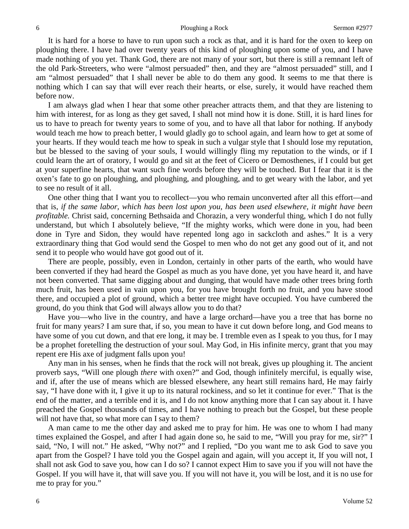It is hard for a horse to have to run upon such a rock as that, and it is hard for the oxen to keep on ploughing there. I have had over twenty years of this kind of ploughing upon some of you, and I have made nothing of you yet. Thank God, there are not many of your sort, but there is still a remnant left of the old Park-Streeters, who were "almost persuaded" then, and they are "almost persuaded" still, and I am "almost persuaded" that I shall never be able to do them any good. It seems to me that there is nothing which I can say that will ever reach their hearts, or else, surely, it would have reached them before now.

I am always glad when I hear that some other preacher attracts them, and that they are listening to him with interest, for as long as they get saved, I shall not mind how it is done. Still, it is hard lines for us to have to preach for twenty years to some of you, and to have all that labor for nothing. If anybody would teach me how to preach better, I would gladly go to school again, and learn how to get at some of your hearts. If they would teach me how to speak in such a vulgar style that I should lose my reputation, but be blessed to the saving of your souls, I would willingly fling my reputation to the winds, or if I could learn the art of oratory, I would go and sit at the feet of Cicero or Demosthenes, if I could but get at your superfine hearts, that want such fine words before they will be touched. But I fear that it is the oxen's fate to go on ploughing, and ploughing, and ploughing, and to get weary with the labor, and yet to see no result of it all.

One other thing that I want you to recollect—you who remain unconverted after all this effort—and that is, *if the same labor, which has been lost upon you, has been used elsewhere, it might have been profitable.* Christ said, concerning Bethsaida and Chorazin, a very wonderful thing, which I do not fully understand, but which I absolutely believe, "If the mighty works, which were done in you, had been done in Tyre and Sidon, they would have repented long ago in sackcloth and ashes." It is a very extraordinary thing that God would send the Gospel to men who do not get any good out of it, and not send it to people who would have got good out of it.

There are people, possibly, even in London, certainly in other parts of the earth, who would have been converted if they had heard the Gospel as much as you have done, yet you have heard it, and have not been converted. That same digging about and dunging, that would have made other trees bring forth much fruit, has been used in vain upon you, for you have brought forth no fruit, and you have stood there, and occupied a plot of ground, which a better tree might have occupied. You have cumbered the ground, do you think that God will always allow you to do that?

Have you—who live in the country, and have a large orchard—have you a tree that has borne no fruit for many years? I am sure that, if so, you mean to have it cut down before long, and God means to have some of you cut down, and that ere long, it may be. I tremble even as I speak to you thus, for I may be a prophet foretelling the destruction of your soul. May God, in His infinite mercy, grant that you may repent ere His axe of judgment falls upon you!

Any man in his senses, when he finds that the rock will not break, gives up ploughing it. The ancient proverb says, "Will one plough *there* with oxen?" and God, though infinitely merciful, is equally wise, and if, after the use of means which are blessed elsewhere, any heart still remains hard, He may fairly say, "I have done with it, I give it up to its natural rockiness, and so let it continue for ever." That is the end of the matter, and a terrible end it is, and I do not know anything more that I can say about it. I have preached the Gospel thousands of times, and I have nothing to preach but the Gospel, but these people will not have that, so what more can I say to them?

A man came to me the other day and asked me to pray for him. He was one to whom I had many times explained the Gospel, and after I had again done so, he said to me, "Will you pray for me, sir?" I said, "No, I will not." He asked, "Why not?" and I replied, "Do you want me to ask God to save you apart from the Gospel? I have told you the Gospel again and again, will you accept it, If you will not, I shall not ask God to save you, how can I do so? I cannot expect Him to save you if you will not have the Gospel. If you will have it, that will save you. If you will not have it, you will be lost, and it is no use for me to pray for you."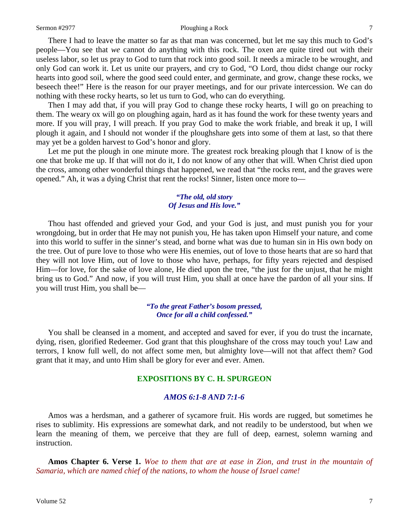#### Sermon #2977 Ploughing a Rock 7

There I had to leave the matter so far as that man was concerned, but let me say this much to God's people—You see that *we* cannot do anything with this rock. The oxen are quite tired out with their useless labor, so let us pray to God to turn that rock into good soil. It needs a miracle to be wrought, and only God can work it. Let us unite our prayers, and cry to God, "O Lord, thou didst change our rocky hearts into good soil, where the good seed could enter, and germinate, and grow, change these rocks, we beseech thee!" Here is the reason for our prayer meetings, and for our private intercession. We can do nothing with these rocky hearts, so let us turn to God, who can do everything.

Then I may add that, if you will pray God to change these rocky hearts, I will go on preaching to them. The weary ox will go on ploughing again, hard as it has found the work for these twenty years and more. If you will pray, I will preach. If you pray God to make the work friable, and break it up, I will plough it again, and I should not wonder if the ploughshare gets into some of them at last, so that there may yet be a golden harvest to God's honor and glory.

Let me put the plough in one minute more. The greatest rock breaking plough that I know of is the one that broke me up. If that will not do it, I do not know of any other that will. When Christ died upon the cross, among other wonderful things that happened, we read that "the rocks rent, and the graves were opened." Ah, it was a dying Christ that rent the rocks! Sinner, listen once more to—

#### *"The old, old story Of Jesus and His love."*

Thou hast offended and grieved your God, and your God is just, and must punish you for your wrongdoing, but in order that He may not punish you, He has taken upon Himself your nature, and come into this world to suffer in the sinner's stead, and borne what was due to human sin in His own body on the tree. Out of pure love to those who were His enemies, out of love to those hearts that are so hard that they will not love Him, out of love to those who have, perhaps, for fifty years rejected and despised Him—for love, for the sake of love alone, He died upon the tree, "the just for the unjust, that he might bring us to God." And now, if you will trust Him, you shall at once have the pardon of all your sins. If you will trust Him, you shall be—

#### *"To the great Father's bosom pressed, Once for all a child confessed."*

You shall be cleansed in a moment, and accepted and saved for ever, if you do trust the incarnate, dying, risen, glorified Redeemer. God grant that this ploughshare of the cross may touch you! Law and terrors, I know full well, do not affect some men, but almighty love—will not that affect them? God grant that it may, and unto Him shall be glory for ever and ever. Amen.

## **EXPOSITIONS BY C. H. SPURGEON**

### *AMOS 6:1-8 AND 7:1-6*

Amos was a herdsman, and a gatherer of sycamore fruit. His words are rugged, but sometimes he rises to sublimity. His expressions are somewhat dark, and not readily to be understood, but when we learn the meaning of them, we perceive that they are full of deep, earnest, solemn warning and instruction.

**Amos Chapter 6. Verse 1.** *Woe to them that are at ease in Zion, and trust in the mountain of Samaria, which are named chief of the nations, to whom the house of Israel came!*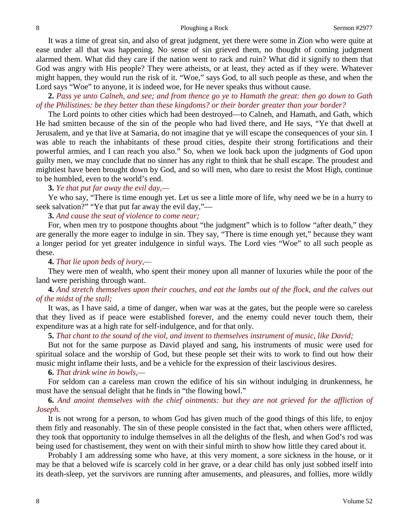It was a time of great sin, and also of great judgment, yet there were some in Zion who were quite at ease under all that was happening. No sense of sin grieved them, no thought of coming judgment alarmed them. What did they care if the nation went to rack and ruin? What did it signify to them that God was angry with His people? They were atheists, or at least, they acted as if they were. Whatever might happen, they would run the risk of it. "Woe," says God, to all such people as these, and when the Lord says "Woe" to anyone, it is indeed woe, for He never speaks thus without cause.

**2.** *Pass ye unto Calneh, and see; and from thence go ye to Hamath the great: then go down to Gath of the Philistines: be they better than these kingdoms? or their border greater than your border?*

The Lord points to other cities which had been destroyed—to Calneh, and Hamath, and Gath, which He had smitten because of the sin of the people who had lived there, and He says, "Ye that dwell at Jerusalem, and ye that live at Samaria, do not imagine that ye will escape the consequences of your sin. I was able to reach the inhabitants of these proud cities, despite their strong fortifications and their powerful armies, and I can reach you also." So, when we look back upon the judgments of God upon guilty men, we may conclude that no sinner has any right to think that he shall escape. The proudest and mightiest have been brought down by God, and so will men, who dare to resist the Most High, continue to be humbled, even to the world's end.

**3.** *Ye that put far away the evil day,—*

Ye who say, "There is time enough yet. Let us see a little more of life, why need we be in a hurry to seek salvation?" "Ye that put far away the evil day,"—

**3.** *And cause the seat of violence to come near;*

For, when men try to postpone thoughts about "the judgment" which is to follow "after death," they are generally the more eager to indulge in sin. They say, "There is time enough yet," because they want a longer period for yet greater indulgence in sinful ways. The Lord vies "Woe" to all such people as these.

#### **4.** *That lie upon beds of ivory,—*

They were men of wealth, who spent their money upon all manner of luxuries while the poor of the land were perishing through want.

**4.** *And stretch themselves upon their couches, and eat the lambs out of the flock, and the calves out of the midst of the stall;*

It was, as I have said, a time of danger, when war was at the gates, but the people were so careless that they lived as if peace were established forever, and the enemy could never touch them, their expenditure was at a high rate for self-indulgence, and for that only.

**5.** *That chant to the sound of the viol, and invent to themselves instrument of music, like David;*

But not for the same purpose as David played and sang, his instruments of music were used for spiritual solace and the worship of God, but these people set their wits to work to find out how their music might inflame their lusts, and be a vehicle for the expression of their lascivious desires.

#### **6.** *That drink wine in bowls,—*

For seldom can a careless man crown the edifice of his sin without indulging in drunkenness, he must have the sensual delight that he finds in "the flowing bowl."

**6.** *And anoint themselves with the chief ointments: but they are not grieved for the affliction of Joseph.*

It is not wrong for a person, to whom God has given much of the good things of this life, to enjoy them fitly and reasonably. The sin of these people consisted in the fact that, when others were afflicted, they took that opportunity to indulge themselves in all the delights of the flesh, and when God's rod was being used for chastisement, they went on with their sinful mirth to show how little they cared about it.

Probably I am addressing some who have, at this very moment, a sore sickness in the house, or it may be that a beloved wife is scarcely cold in her grave, or a dear child has only just sobbed itself into its death-sleep, yet the survivors are running after amusements, and pleasures, and follies, more wildly